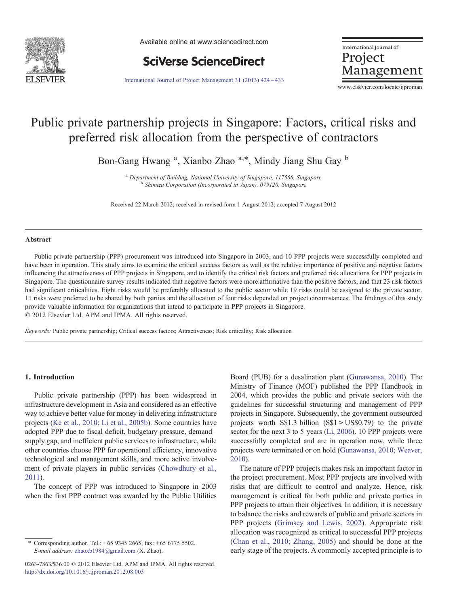

Available online at www.sciencedirect.com



International Journal of Project Management

[International Journal of Project Management 31 \(2013\) 424](http://dx.doi.org/10.1016/j.ijproman.2012.08.003)–433

www.elsevier.com/locate/ijproman

## Public private partnership projects in Singapore: Factors, critical risks and preferred risk allocation from the perspective of contractors

Bon-Gang Hwang<sup>a</sup>, Xianbo Zhao<sup>a,\*</sup>, Mindy Jiang Shu Gay<sup>b</sup>

<sup>a</sup> Department of Building, National University of Singapore, 117566, Singapore b Shimizu Corporation (Incorporated in Japan), 079120, Singapore

Received 22 March 2012; received in revised form 1 August 2012; accepted 7 August 2012

#### Abstract

Public private partnership (PPP) procurement was introduced into Singapore in 2003, and 10 PPP projects were successfully completed and have been in operation. This study aims to examine the critical success factors as well as the relative importance of positive and negative factors influencing the attractiveness of PPP projects in Singapore, and to identify the critical risk factors and preferred risk allocations for PPP projects in Singapore. The questionnaire survey results indicated that negative factors were more affirmative than the positive factors, and that 23 risk factors had significant criticalities. Eight risks would be preferably allocated to the public sector while 19 risks could be assigned to the private sector. 11 risks were preferred to be shared by both parties and the allocation of four risks depended on project circumstances. The findings of this study provide valuable information for organizations that intend to participate in PPP projects in Singapore. © 2012 Elsevier Ltd. APM and IPMA. All rights reserved.

Keywords: Public private partnership; Critical success factors; Attractiveness; Risk criticality; Risk allocation

## 1. Introduction

Public private partnership (PPP) has been widespread in infrastructure development in Asia and considered as an effective way to achieve better value for money in delivering infrastructure projects [\(Ke et al., 2010; Li et al., 2005b](#page--1-0)). Some countries have adopted PPP due to fiscal deficit, budgetary pressure, demand– supply gap, and inefficient public services to infrastructure, while other countries choose PPP for operational efficiency, innovative technological and management skills, and more active involvement of private players in public services [\(Chowdhury et al.,](#page--1-0) [2011](#page--1-0)).

The concept of PPP was introduced to Singapore in 2003 when the first PPP contract was awarded by the Public Utilities

0263-7863/\$36.00 © 2012 Elsevier Ltd. APM and IPMA. All rights reserved. <http://dx.doi.org/10.1016/j.ijproman.2012.08.003>

Board (PUB) for a desalination plant [\(Gunawansa, 2010](#page--1-0)). The Ministry of Finance (MOF) published the PPP Handbook in 2004, which provides the public and private sectors with the guidelines for successful structuring and management of PPP projects in Singapore. Subsequently, the government outsourced projects worth S\$1.3 billion (S\$1≈US\$0.79) to the private sector for the next 3 to 5 years ([Li, 2006\)](#page--1-0). 10 PPP projects were successfully completed and are in operation now, while three projects were terminated or on hold [\(Gunawansa, 2010; Weaver,](#page--1-0) [2010](#page--1-0)).

The nature of PPP projects makes risk an important factor in the project procurement. Most PPP projects are involved with risks that are difficult to control and analyze. Hence, risk management is critical for both public and private parties in PPP projects to attain their objectives. In addition, it is necessary to balance the risks and rewards of public and private sectors in PPP projects ([Grimsey and Lewis, 2002\)](#page--1-0). Appropriate risk allocation was recognized as critical to successful PPP projects ([Chan et al., 2010; Zhang, 2005\)](#page--1-0) and should be done at the early stage of the projects. A commonly accepted principle is to

<sup>⁎</sup> Corresponding author. Tel.: +65 9345 2665; fax: + 65 6775 5502. E-mail address: [zhaoxb1984@gmail.com](mailto:zhaoxb1984@gmail.com) (X. Zhao).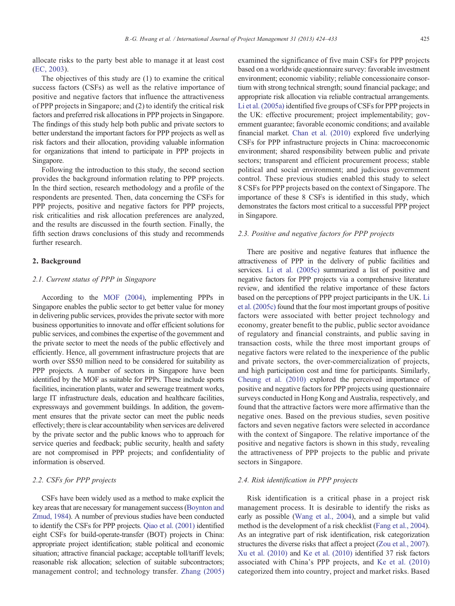allocate risks to the party best able to manage it at least cost ([EC, 2003](#page--1-0)).

The objectives of this study are (1) to examine the critical success factors (CSFs) as well as the relative importance of positive and negative factors that influence the attractiveness of PPP projects in Singapore; and (2) to identify the critical risk factors and preferred risk allocations in PPP projects in Singapore. The findings of this study help both public and private sectors to better understand the important factors for PPP projects as well as risk factors and their allocation, providing valuable information for organizations that intend to participate in PPP projects in Singapore.

Following the introduction to this study, the second section provides the background information relating to PPP projects. In the third section, research methodology and a profile of the respondents are presented. Then, data concerning the CSFs for PPP projects, positive and negative factors for PPP projects, risk criticalities and risk allocation preferences are analyzed, and the results are discussed in the fourth section. Finally, the fifth section draws conclusions of this study and recommends further research.

## 2. Background

## 2.1. Current status of PPP in Singapore

According to the [MOF \(2004\)](#page--1-0), implementing PPPs in Singapore enables the public sector to get better value for money in delivering public services, provides the private sector with more business opportunities to innovate and offer efficient solutions for public services, and combines the expertise of the government and the private sector to meet the needs of the public effectively and efficiently. Hence, all government infrastructure projects that are worth over S\$50 million need to be considered for suitability as PPP projects. A number of sectors in Singapore have been identified by the MOF as suitable for PPPs. These include sports facilities, incineration plants, water and sewerage treatment works, large IT infrastructure deals, education and healthcare facilities, expressways and government buildings. In addition, the government ensures that the private sector can meet the public needs effectively; there is clear accountability when services are delivered by the private sector and the public knows who to approach for service queries and feedback; public security, health and safety are not compromised in PPP projects; and confidentiality of information is observed.

## 2.2. CSFs for PPP projects

CSFs have been widely used as a method to make explicit the key areas that are necessary for management success ([Boynton and](#page--1-0) [Zmud, 1984\)](#page--1-0). A number of previous studies have been conducted to identify the CSFs for PPP projects. [Qiao et al. \(2001\)](#page--1-0) identified eight CSFs for build-operate-transfer (BOT) projects in China: appropriate project identification; stable political and economic situation; attractive financial package; acceptable toll/tariff levels; reasonable risk allocation; selection of suitable subcontractors; management control; and technology transfer. [Zhang \(2005\)](#page--1-0) examined the significance of five main CSFs for PPP projects based on a worldwide questionnaire survey: favorable investment environment; economic viability; reliable concessionaire consortium with strong technical strength; sound financial package; and appropriate risk allocation via reliable contractual arrangements. [Li et al. \(2005a\)](#page--1-0) identified five groups of CSFs for PPP projects in the UK: effective procurement; project implementability; government guarantee; favorable economic conditions; and available financial market. [Chan et al. \(2010\)](#page--1-0) explored five underlying CSFs for PPP infrastructure projects in China: macroeconomic environment; shared responsibility between public and private sectors; transparent and efficient procurement process; stable political and social environment; and judicious government control. These previous studies enabled this study to select 8 CSFs for PPP projects based on the context of Singapore. The importance of these 8 CSFs is identified in this study, which demonstrates the factors most critical to a successful PPP project in Singapore.

## 2.3. Positive and negative factors for PPP projects

There are positive and negative features that influence the attractiveness of PPP in the delivery of public facilities and services. [Li et al. \(2005c\)](#page--1-0) summarized a list of positive and negative factors for PPP projects via a comprehensive literature review, and identified the relative importance of these factors based on the perceptions of PPP project participants in the UK. [Li](#page--1-0) [et al. \(2005c\)](#page--1-0) found that the four most important groups of positive factors were associated with better project technology and economy, greater benefit to the public, public sector avoidance of regulatory and financial constraints, and public saving in transaction costs, while the three most important groups of negative factors were related to the inexperience of the public and private sectors, the over-commercialization of projects, and high participation cost and time for participants. Similarly, [Cheung et al. \(2010\)](#page--1-0) explored the perceived importance of positive and negative factors for PPP projects using questionnaire surveys conducted in Hong Kong and Australia, respectively, and found that the attractive factors were more affirmative than the negative ones. Based on the previous studies, seven positive factors and seven negative factors were selected in accordance with the context of Singapore. The relative importance of the positive and negative factors is shown in this study, revealing the attractiveness of PPP projects to the public and private sectors in Singapore.

## 2.4. Risk identification in PPP projects

Risk identification is a critical phase in a project risk management process. It is desirable to identify the risks as early as possible [\(Wang et al., 2004](#page--1-0)), and a simple but valid method is the development of a risk checklist [\(Fang et al., 2004\)](#page--1-0). As an integrative part of risk identification, risk categorization structures the diverse risks that affect a project ([Zou et al., 2007\)](#page--1-0). [Xu et al. \(2010\)](#page--1-0) and [Ke et al. \(2010\)](#page--1-0) identified 37 risk factors associated with China's PPP projects, and [Ke et al. \(2010\)](#page--1-0) categorized them into country, project and market risks. Based